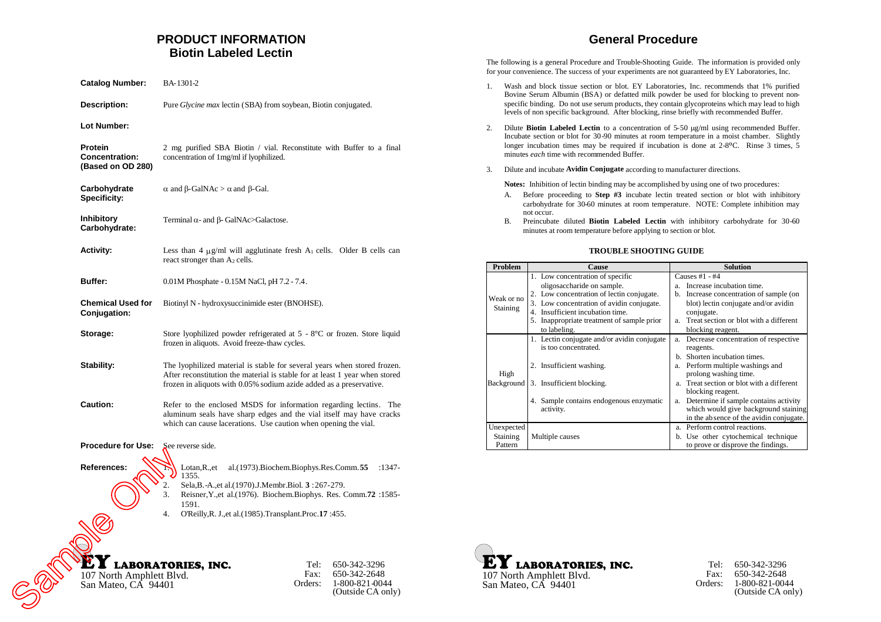# **PRODUCT INFORMATION Biotin Labeled Lectin**

| <b>Catalog Number:</b>                                | BA-1301-2                                                                                                                                                                                                                      |
|-------------------------------------------------------|--------------------------------------------------------------------------------------------------------------------------------------------------------------------------------------------------------------------------------|
| <b>Description:</b>                                   | Pure <i>Glycine max</i> lectin (SBA) from soybean, Biotin conjugated.                                                                                                                                                          |
| Lot Number:                                           |                                                                                                                                                                                                                                |
| Protein<br><b>Concentration:</b><br>(Based on OD 280) | 2 mg purified SBA Biotin / vial. Reconstitute with Buffer to a final<br>concentration of 1mg/ml if lyophilized.                                                                                                                |
| Carbohydrate<br><b>Specificity:</b>                   | $\alpha$ and $\beta$ -GalNAc > $\alpha$ and $\beta$ -Gal.                                                                                                                                                                      |
| <b>Inhibitory</b><br>Carbohydrate:                    | Terminal $\alpha$ - and $\beta$ - GalNAc>Galactose.                                                                                                                                                                            |
| Activity:                                             | Less than 4 $\mu$ g/ml will agglutinate fresh A <sub>1</sub> cells. Older B cells can<br>react stronger than $A_2$ cells.                                                                                                      |
| <b>Buffer:</b>                                        | 0.01M Phosphate - 0.15M NaCl, pH 7.2 - 7.4.                                                                                                                                                                                    |
| <b>Chemical Used for</b><br>Conjugation:              | Biotinyl N - hydroxysuccinimide ester (BNOHSE).                                                                                                                                                                                |
| Storage:                                              | Store lyophilized powder refrigerated at $5 - 8^{\circ}$ C or frozen. Store liquid<br>frozen in aliquots. Avoid freeze-thaw cycles.                                                                                            |
| Stability:                                            | The lyophilized material is stable for several years when stored frozen.<br>After reconstitution the material is stable for at least 1 year when stored<br>frozen in aliquots with 0.05% sodium azide added as a preservative. |
| Caution:                                              | Refer to the enclosed MSDS for information regarding lectins. The<br>aluminum seals have sharp edges and the vial itself may have cracks<br>which can cause lacerations. Use caution when opening the vial.                    |
| <b>Procedure for Use:</b>                             | See reverse side.                                                                                                                                                                                                              |
| References:                                           | Lotan, R., et<br>al.(1973). Biochem. Biophys. Res. Comm. 55<br>:1347-<br>1355.                                                                                                                                                 |
|                                                       | 2.<br>Sela, B.-A., et al. (1970). J. Membr. Biol. 3: 267-279.<br>3.<br>Reisner, Y., et al. (1976). Biochem. Biophys. Res. Comm. 72 : 1585-<br>1591.                                                                            |
|                                                       | 4.<br>O'Reilly, R. J., et al. (1985). Transplant. Proc. 17:455.                                                                                                                                                                |
|                                                       |                                                                                                                                                                                                                                |
| 107 North Amphlett Blvd.<br>San Mateo, CA 94401       | <b>LABORATORIES, INC.</b><br>650-342-3296<br>Tel:<br>Fax:<br>650-342-2648<br>Orders:<br>1-800-821-0044<br>(Outside CA only)                                                                                                    |

# **General Procedure**

The following is a general Procedure and Trouble-Shooting Guide. The information is provided only for your convenience. The success of your experiments are not guaranteed by EY Laboratories, Inc.

- 1. Wash and block tissue section or blot. EY Laboratories, Inc. recommends that 1% purified Bovine Serum Albumin (BSA) or defatted milk powder be used for blocking to prevent nonspecific binding. Do not use serum products, they contain glycoproteins which may lead to high levels of non specific background. After blocking, rinse briefly with recommended Buffer.
- 2. Dilute **Biotin Labeled Lectin** to a concentration of 5-50  $\mu$ g/ml using recommended Buffer. Incubate section or blot for 30-90 minutes at room temperature in a moist chamber. Slightly longer incubation times may be required if incubation is done at 2-8ºC. Rinse 3 times, 5 minutes *each* time with recommended Buffer.
- 3. Dilute and incubate **Avidin Conjugate** according to manufacturer directions.

**Notes:** Inhibition of lectin binding may be accomplished by using one of two procedures:

- A. Before proceeding to **Step #3** incubate lectin treated section or blot with inhibitory carbohydrate for 30-60 minutes at room temperature. NOTE: Complete inhibition may not occur.
- B. Preincubate diluted **Biotin Labeled Lectin** with inhibitory carbohydrate for 30-60 minutes at room temperature before applying to section or blot.

#### **TROUBLE SHOOTING GUIDE**

| <b>Problem</b>                | Cause                                       | <b>Solution</b>                              |  |
|-------------------------------|---------------------------------------------|----------------------------------------------|--|
|                               | 1. Low concentration of specific            | Causes #1 - #4                               |  |
| Weak or no<br><b>Staining</b> | oligosaccharide on sample.                  | Increase incubation time.<br>a.              |  |
|                               | 2. Low concentration of lectin conjugate.   | Increase concentration of sample (on<br>b.   |  |
|                               | 3. Low concentration of avidin conjugate.   | blot) lectin conjugate and/or avidin         |  |
|                               | 4. Insufficient incubation time.            | conjugate.                                   |  |
|                               | 5. Inappropriate treatment of sample prior  | Treat section or blot with a different<br>a. |  |
|                               | to labeling.                                | blocking reagent.                            |  |
|                               | 1. Lectin conjugate and/or avidin conjugate | Decrease concentration of respective<br>a.   |  |
|                               | is too concentrated.                        | reagents.                                    |  |
|                               |                                             | Shorten incubation times.<br>h.              |  |
|                               | 2. Insufficient washing.                    | Perform multiple washings and<br>a.          |  |
| High                          |                                             | prolong washing time.                        |  |
| Background                    | 3. Insufficient blocking.                   | Treat section or blot with a different       |  |
|                               |                                             | blocking reagent.                            |  |
|                               | 4. Sample contains endogenous enzymatic     | Determine if sample contains activity<br>a.  |  |
|                               | activity.                                   | which would give background staining         |  |
|                               |                                             | in the absence of the avidin conjugate.      |  |
| Unexpected                    |                                             | Perform control reactions.<br>a.             |  |
| <b>Staining</b>               | Multiple causes                             | b. Use other cytochemical technique          |  |
| Pattern                       |                                             | to prove or disprove the findings.           |  |



| Tel:          | 650-342-3296      |
|---------------|-------------------|
| $\text{Fax}:$ | 650-342-2648      |
| Orders:       | 1-800-821-0044    |
|               | (Outside CA only) |